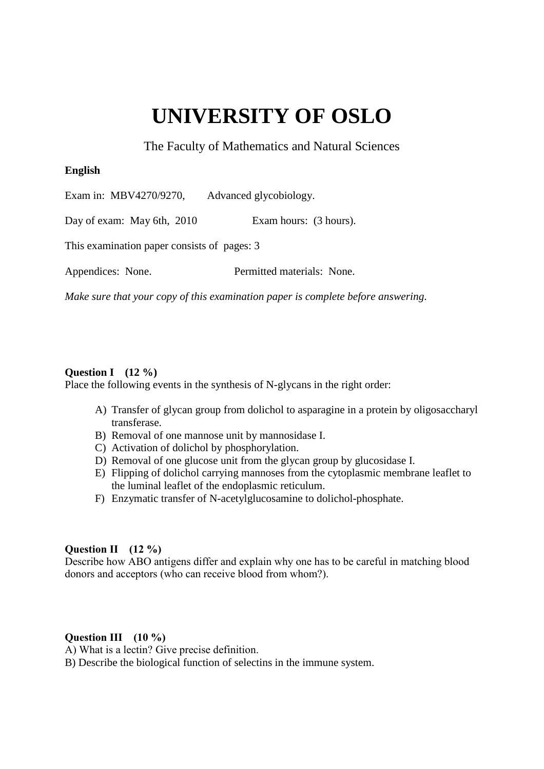# **UNIVERSITY OF OSLO**

The Faculty of Mathematics and Natural Sciences

# **English**

Exam in: MBV4270/9270, Advanced glycobiology.

Day of exam: May 6th, 2010 Exam hours: (3 hours).

This examination paper consists of pages: 3

Appendices: None. Permitted materials: None.

*Make sure that your copy of this examination paper is complete before answering.*

## **Question I (12 %)**

Place the following events in the synthesis of N-glycans in the right order:

- A) Transfer of glycan group from dolichol to asparagine in a protein by oligosaccharyl transferase.
- B) Removal of one mannose unit by mannosidase I.
- C) Activation of dolichol by phosphorylation.
- D) Removal of one glucose unit from the glycan group by glucosidase I.
- E) Flipping of dolichol carrying mannoses from the cytoplasmic membrane leaflet to the luminal leaflet of the endoplasmic reticulum.
- F) Enzymatic transfer of N-acetylglucosamine to dolichol-phosphate.

# **Question II (12 %)**

Describe how ABO antigens differ and explain why one has to be careful in matching blood donors and acceptors (who can receive blood from whom?).

# **Question III (10 %)**

A) What is a lectin? Give precise definition.

B) Describe the biological function of selectins in the immune system.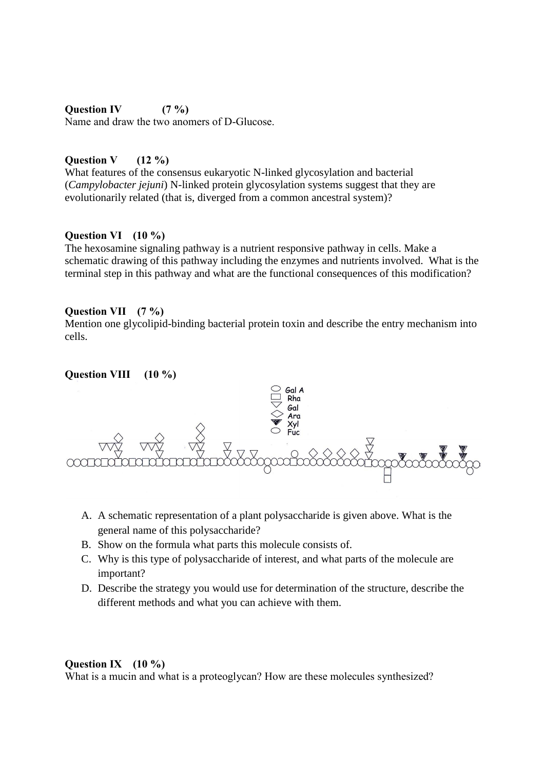#### **Question IV (7 %)**

Name and draw the two anomers of D-Glucose.

### **Question V (12 %)**

What features of the consensus eukaryotic N-linked glycosylation and bacterial (*Campylobacter jejuni*) N-linked protein glycosylation systems suggest that they are evolutionarily related (that is, diverged from a common ancestral system)?

#### **Question VI (10 %)**

The hexosamine signaling pathway is a nutrient responsive pathway in cells. Make a schematic drawing of this pathway including the enzymes and nutrients involved. What is the terminal step in this pathway and what are the functional consequences of this modification?

#### **Question VII (7 %)**

Mention one glycolipid-binding bacterial protein toxin and describe the entry mechanism into cells.

### **Question VIII (10 %)**



- A. A schematic representation of a plant polysaccharide is given above. What is the general name of this polysaccharide?
- B. Show on the formula what parts this molecule consists of.
- C. Why is this type of polysaccharide of interest, and what parts of the molecule are important?
- D. Describe the strategy you would use for determination of the structure, describe the different methods and what you can achieve with them.

#### **Question IX (10 %)**

What is a mucin and what is a proteoglycan? How are these molecules synthesized?